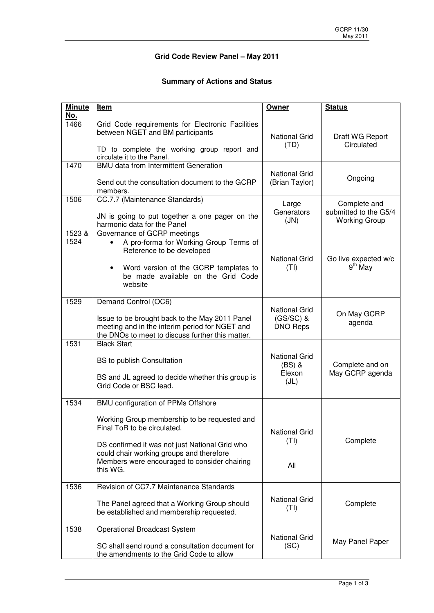## **Grid Code Review Panel – May 2011**

## **Summary of Actions and Status**

| <b>Minute</b><br>No. | <b>Item</b>                                                                                                                                                                                                                                                                 | Owner                                                  | <b>Status</b>                                                 |
|----------------------|-----------------------------------------------------------------------------------------------------------------------------------------------------------------------------------------------------------------------------------------------------------------------------|--------------------------------------------------------|---------------------------------------------------------------|
| 1466                 | Grid Code requirements for Electronic Facilities<br>between NGET and BM participants<br>TD to complete the working group report and<br>circulate it to the Panel.                                                                                                           | <b>National Grid</b><br>(TD)                           | Draft WG Report<br>Circulated                                 |
| 1470                 | <b>BMU</b> data from Intermittent Generation<br>Send out the consultation document to the GCRP<br>members.                                                                                                                                                                  | <b>National Grid</b><br>(Brian Taylor)                 | Ongoing                                                       |
| 1506                 | CC.7.7 (Maintenance Standards)<br>JN is going to put together a one pager on the<br>harmonic data for the Panel                                                                                                                                                             | Large<br>Generators<br>(JN)                            | Complete and<br>submitted to the G5/4<br><b>Working Group</b> |
| 1523 &<br>1524       | Governance of GCRP meetings<br>A pro-forma for Working Group Terms of<br>$\bullet$<br>Reference to be developed<br>Word version of the GCRP templates to<br>٠<br>be made available on the Grid Code<br>website                                                              | <b>National Grid</b><br>(TI)                           | Go live expected w/c<br>$9th$ May                             |
| 1529                 | Demand Control (OC6)<br>Issue to be brought back to the May 2011 Panel<br>meeting and in the interim period for NGET and<br>the DNOs to meet to discuss further this matter.                                                                                                | <b>National Grid</b><br>$(GS/SC)$ &<br><b>DNO Reps</b> | On May GCRP<br>agenda                                         |
| 1531                 | <b>Black Start</b><br>BS to publish Consultation<br>BS and JL agreed to decide whether this group is<br>Grid Code or BSC lead.                                                                                                                                              | <b>National Grid</b><br>$(BS)$ &<br>Elexon<br>(JL)     | Complete and on<br>May GCRP agenda                            |
| 1534                 | BMU configuration of PPMs Offshore<br>Working Group membership to be requested and<br>Final ToR to be circulated.<br>DS confirmed it was not just National Grid who<br>could chair working groups and therefore<br>Members were encouraged to consider chairing<br>this WG. | <b>National Grid</b><br>(TI)<br>All                    | Complete                                                      |
| 1536                 | Revision of CC7.7 Maintenance Standards<br>The Panel agreed that a Working Group should<br>be established and membership requested.                                                                                                                                         | <b>National Grid</b><br>(TI)                           | Complete                                                      |
| 1538                 | <b>Operational Broadcast System</b><br>SC shall send round a consultation document for<br>the amendments to the Grid Code to allow                                                                                                                                          | <b>National Grid</b><br>(SC)                           | May Panel Paper                                               |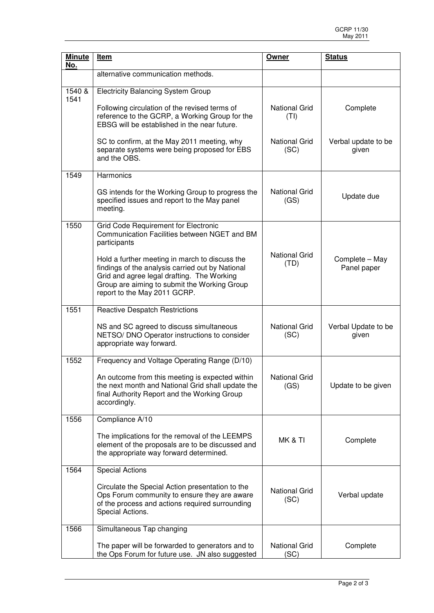| <b>Minute</b><br>No. | <u>Item</u>                                                                                                                                                                                                                      | Owner                        | <b>Status</b>                 |
|----------------------|----------------------------------------------------------------------------------------------------------------------------------------------------------------------------------------------------------------------------------|------------------------------|-------------------------------|
|                      | alternative communication methods.                                                                                                                                                                                               |                              |                               |
| 1540 &               | <b>Electricity Balancing System Group</b>                                                                                                                                                                                        |                              |                               |
| 1541                 | Following circulation of the revised terms of<br>reference to the GCRP, a Working Group for the<br>EBSG will be established in the near future.                                                                                  | <b>National Grid</b><br>(TI) | Complete                      |
|                      | SC to confirm, at the May 2011 meeting, why<br>separate systems were being proposed for EBS<br>and the OBS.                                                                                                                      | <b>National Grid</b><br>(SC) | Verbal update to be<br>given  |
| 1549                 | <b>Harmonics</b>                                                                                                                                                                                                                 |                              |                               |
|                      | GS intends for the Working Group to progress the<br>specified issues and report to the May panel<br>meeting.                                                                                                                     | <b>National Grid</b><br>(GS) | Update due                    |
| 1550                 | <b>Grid Code Requirement for Electronic</b><br>Communication Facilities between NGET and BM<br>participants                                                                                                                      | <b>National Grid</b>         |                               |
|                      | Hold a further meeting in march to discuss the<br>findings of the analysis carried out by National<br>Grid and agree legal drafting. The Working<br>Group are aiming to submit the Working Group<br>report to the May 2011 GCRP. | (TD)                         | Complete - May<br>Panel paper |
| 1551                 | <b>Reactive Despatch Restrictions</b>                                                                                                                                                                                            |                              |                               |
|                      | NS and SC agreed to discuss simultaneous<br>NETSO/ DNO Operator instructions to consider<br>appropriate way forward.                                                                                                             | <b>National Grid</b><br>(SC) | Verbal Update to be<br>given  |
| 1552                 | Frequency and Voltage Operating Range (D/10)                                                                                                                                                                                     |                              |                               |
|                      | An outcome from this meeting is expected within<br>the next month and National Grid shall update the<br>final Authority Report and the Working Group<br>accordingly.                                                             | <b>National Grid</b><br>(GS) | Update to be given            |
| 1556                 | Compliance A/10                                                                                                                                                                                                                  |                              |                               |
|                      | The implications for the removal of the LEEMPS<br>element of the proposals are to be discussed and<br>the appropriate way forward determined.                                                                                    | MK & TI                      | Complete                      |
| 1564                 | <b>Special Actions</b>                                                                                                                                                                                                           |                              |                               |
|                      | Circulate the Special Action presentation to the<br>Ops Forum community to ensure they are aware<br>of the process and actions required surrounding<br>Special Actions.                                                          | <b>National Grid</b><br>(SC) | Verbal update                 |
| 1566                 | Simultaneous Tap changing                                                                                                                                                                                                        |                              |                               |
|                      | The paper will be forwarded to generators and to<br>the Ops Forum for future use. JN also suggested                                                                                                                              | <b>National Grid</b><br>(SC) | Complete                      |